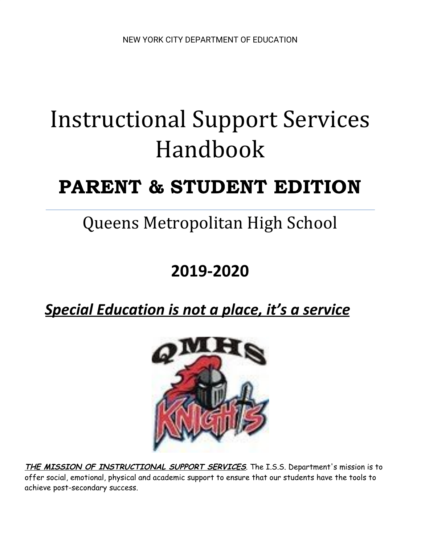# Instructional Support Services Handbook

# PARENT & STUDENT EDITION

# Queens Metropolitan High School

### **2019-2020**

### *Special Education is not a place, it's a service*



**THE MISSION OF INSTRUCTIONAL SUPPORT SERVICES**. The I.S.S. Department's mission is to offer social, emotional, physical and academic support to ensure that our students have the tools to achieve post-secondary success.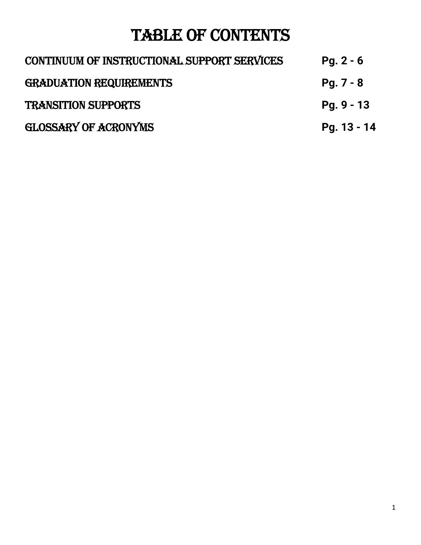## TABLE OF CONTENTS

| CONTINUUM OF INSTRUCTIONAL SUPPORT SERVICES | $Pg. 2 - 6$  |
|---------------------------------------------|--------------|
| <b>GRADUATION REQUIREMENTS</b>              | $Pg. 7 - 8$  |
| <b>TRANSITION SUPPORTS</b>                  | $Pg. 9 - 13$ |
| GLOSSARY OF ACRONYMS                        | Pg. 13 - 14  |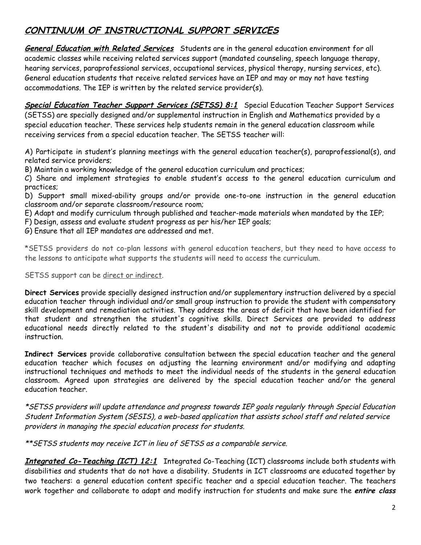#### **CONTINUUM OF INSTRUCTIONAL SUPPORT SERVICES**

**General Education with Related Services** Students are in the general education environment for all academic classes while receiving related services support (mandated counseling, speech language therapy, hearing services, paraprofessional services, occupational services, physical therapy, nursing services, etc). General education students that receive related services have an IEP and may or may not have testing accommodations. The IEP is written by the related service provider(s).

**Special Education Teacher Support Services (SETSS) 8:1** Special Education Teacher Support Services (SETSS) are specially designed and/or supplemental instruction in English and Mathematics provided by a special education teacher. These services help students remain in the general education classroom while receiving services from a special education teacher. The SETSS teacher will:

A) Participate in student's planning meetings with the general education teacher(s), paraprofessional(s), and related service providers;

B) Maintain a working knowledge of the general education curriculum and practices;

C) Share and implement strategies to enable student's access to the general education curriculum and practices;

D) Support small mixed-ability groups and/or provide one-to-one instruction in the general education classroom and/or separate classroom/resource room;

E) Adapt and modify curriculum through published and teacher-made materials when mandated by the IEP;

F) Design, assess and evaluate student progress as per his/her IEP goals;

G) Ensure that all IEP mandates are addressed and met.

\*SETSS providers do not co-plan lessons with general education teachers, but they need to have access to the lessons to anticipate what supports the students will need to access the curriculum.

SETSS support can be direct or indirect.

**Direct Services** provide specially designed instruction and/or supplementary instruction delivered by a special education teacher through individual and/or small group instruction to provide the student with compensatory skill development and remediation activities. They address the areas of deficit that have been identified for that student and strengthen the student's cognitive skills. Direct Services are provided to address educational needs directly related to the student's disability and not to provide additional academic instruction.

**Indirect Services** provide collaborative consultation between the special education teacher and the general education teacher which focuses on adjusting the learning environment and/or modifying and adapting instructional techniques and methods to meet the individual needs of the students in the general education classroom. Agreed upon strategies are delivered by the special education teacher and/or the general education teacher.

\*SETSS providers will update attendance and progress towards IEP goals regularly through Special Education Student Information System (SESIS), a web-based application that assists school staff and related service providers in managing the special education process for students.

\*\*SETSS students may receive ICT in lieu of SETSS as a comparable service.

**Integrated Co-Teaching (ICT) 12:1** Integrated Co-Teaching (ICT) classrooms include both students with disabilities and students that do not have a disability. Students in ICT classrooms are educated together by two teachers: a general education content specific teacher and a special education teacher. The teachers work together and collaborate to adapt and modify instruction for students and make sure the **entire class**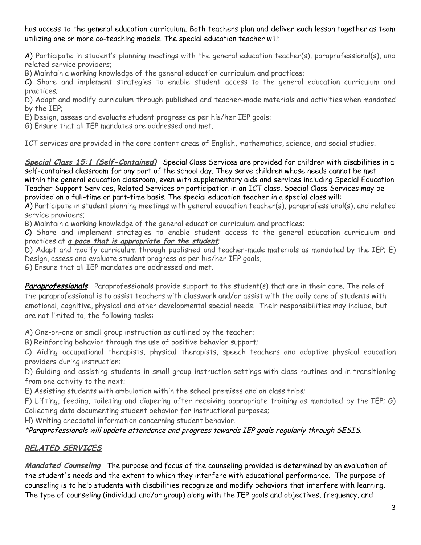has access to the general education curriculum. Both teachers plan and deliver each lesson together as team utilizing one or more co-teaching models. The special education teacher will:

A) Participate in student's planning meetings with the general education teacher(s), paraprofessional(s), and related service providers;

B) Maintain a working knowledge of the general education curriculum and practices;

C) Share and implement strategies to enable student access to the general education curriculum and practices;

D) Adapt and modify curriculum through published and teacher-made materials and activities when mandated by the IEP;

E) Design, assess and evaluate student progress as per his/her IEP goals;

G) Ensure that all IEP mandates are addressed and met.

ICT services are provided in the core content areas of English, mathematics, science, and social studies.

**Special Class 15:1 (Self-Contained)** Special Class Services are provided for children with disabilities in a self-contained classroom for any part of the school day. They serve children whose needs cannot be met within the general education classroom, even with supplementary aids and services including Special Education Teacher Support Services, Related Services or participation in an ICT class. Special Class Services may be provided on a full-time or part-time basis. The special education teacher in a special class will:

A) Participate in student planning meetings with general education teacher(s), paraprofessional(s), and related service providers;

B) Maintain a working knowledge of the general education curriculum and practices;

C) Share and implement strategies to enable student access to the general education curriculum and practices at **a pace that is appropriate for the student**;

D) Adapt and modify curriculum through published and teacher-made materials as mandated by the IEP; E) Design, assess and evaluate student progress as per his/her IEP goals;

G) Ensure that all IEP mandates are addressed and met.

**Paraprofessionals** Paraprofessionals provide support to the student(s) that are in their care. The role of the paraprofessional is to assist teachers with classwork and/or assist with the daily care of students with emotional, cognitive, physical and other developmental special needs. Their responsibilities may include, but are not limited to, the following tasks:

A) One-on-one or small group instruction as outlined by the teacher;

B) Reinforcing behavior through the use of positive behavior support;

C) Aiding occupational therapists, physical therapists, speech teachers and adaptive physical education providers during instruction:

D) Guiding and assisting students in small group instruction settings with class routines and in transitioning from one activity to the next;

E) Assisting students with ambulation within the school premises and on class trips;

F) Lifting, feeding, toileting and diapering after receiving appropriate training as mandated by the IEP; G) Collecting data documenting student behavior for instructional purposes;

H) Writing anecdotal information concerning student behavior.

\*Paraprofessionals will update attendance and progress towards IEP goals regularly through SESIS.

#### **RELATED SERVICES**

**Mandated Counseling** The purpose and focus of the counseling provided is determined by an evaluation of the student's needs and the extent to which they interfere with educational performance. The purpose of counseling is to help students with disabilities recognize and modify behaviors that interfere with learning. The type of counseling (individual and/or group) along with the IEP goals and objectives, frequency, and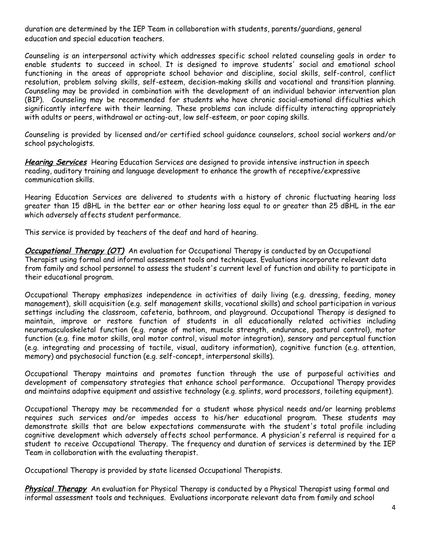duration are determined by the IEP Team in collaboration with students, parents/guardians, general education and special education teachers.

Counseling is an interpersonal activity which addresses specific school related counseling goals in order to enable students to succeed in school. It is designed to improve students' social and emotional school functioning in the areas of appropriate school behavior and discipline, social skills, self-control, conflict resolution, problem solving skills, self-esteem, decision-making skills and vocational and transition planning. Counseling may be provided in combination with the development of an individual behavior intervention plan (BIP). Counseling may be recommended for students who have chronic social-emotional difficulties which significantly interfere with their learning. These problems can include difficulty interacting appropriately with adults or peers, withdrawal or acting-out, low self-esteem, or poor coping skills.

Counseling is provided by licensed and/or certified school guidance counselors, school social workers and/or school psychologists.

**Hearing Services** Hearing Education Services are designed to provide intensive instruction in speech reading, auditory training and language development to enhance the growth of receptive/expressive communication skills.

Hearing Education Services are delivered to students with a history of chronic fluctuating hearing loss greater than 15 dBHL in the better ear or other hearing loss equal to or greater than 25 dBHL in the ear which adversely affects student performance.

This service is provided by teachers of the deaf and hard of hearing.

**Occupational Therapy (OT)** An evaluation for Occupational Therapy is conducted by an Occupational Therapist using formal and informal assessment tools and techniques. Evaluations incorporate relevant data from family and school personnel to assess the student's current level of function and ability to participate in their educational program.

Occupational Therapy emphasizes independence in activities of daily living (e.g. dressing, feeding, money management), skill acquisition (e.g. self management skills, vocational skills) and school participation in various settings including the classroom, cafeteria, bathroom, and playground. Occupational Therapy is designed to maintain, improve or restore function of students in all educationally related activities including neuromusculoskeletal function (e.g. range of motion, muscle strength, endurance, postural control), motor function (e.g. fine motor skills, oral motor control, visual motor integration), sensory and perceptual function (e.g. integrating and processing of tactile, visual, auditory information), cognitive function (e.g. attention, memory) and psychosocial function (e.g. self-concept, interpersonal skills).

Occupational Therapy maintains and promotes function through the use of purposeful activities and development of compensatory strategies that enhance school performance. Occupational Therapy provides and maintains adaptive equipment and assistive technology (e.g. splints, word processors, toileting equipment).

Occupational Therapy may be recommended for a student whose physical needs and/or learning problems requires such services and/or impedes access to his/her educational program. These students may demonstrate skills that are below expectations commensurate with the student's total profile including cognitive development which adversely affects school performance. A physician's referral is required for a student to receive Occupational Therapy. The frequency and duration of services is determined by the IEP Team in collaboration with the evaluating therapist.

Occupational Therapy is provided by state licensed Occupational Therapists.

**Physical Therapy** An evaluation for Physical Therapy is conducted by a Physical Therapist using formal and informal assessment tools and techniques. Evaluations incorporate relevant data from family and school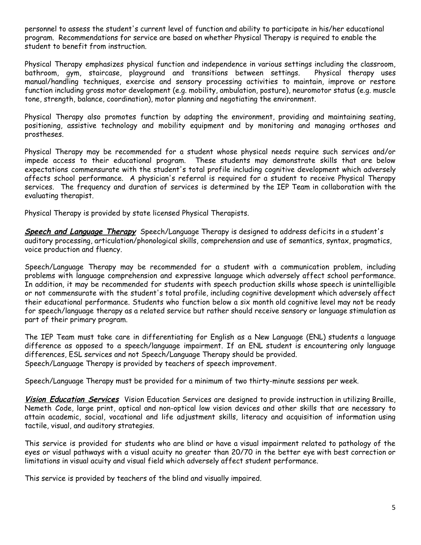personnel to assess the student's current level of function and ability to participate in his/her educational program. Recommendations for service are based on whether Physical Therapy is required to enable the student to benefit from instruction.

Physical Therapy emphasizes physical function and independence in various settings including the classroom, bathroom, gym, staircase, playground and transitions between settings. Physical therapy uses manual/handling techniques, exercise and sensory processing activities to maintain, improve or restore function including gross motor development (e.g. mobility, ambulation, posture), neuromotor status (e.g. muscle tone, strength, balance, coordination), motor planning and negotiating the environment.

Physical Therapy also promotes function by adapting the environment, providing and maintaining seating, positioning, assistive technology and mobility equipment and by monitoring and managing orthoses and prostheses.

Physical Therapy may be recommended for a student whose physical needs require such services and/or impede access to their educational program. These students may demonstrate skills that are below expectations commensurate with the student's total profile including cognitive development which adversely affects school performance. A physician's referral is required for a student to receive Physical Therapy services. The frequency and duration of services is determined by the IEP Team in collaboration with the evaluating therapist.

Physical Therapy is provided by state licensed Physical Therapists.

**Speech and Language Therapy** Speech/Language Therapy is designed to address deficits in a student's auditory processing, articulation/phonological skills, comprehension and use of semantics, syntax, pragmatics, voice production and fluency.

Speech/Language Therapy may be recommended for a student with a communication problem, including problems with language comprehension and expressive language which adversely affect school performance. In addition, it may be recommended for students with speech production skills whose speech is unintelligible or not commensurate with the student's total profile, including cognitive development which adversely affect their educational performance. Students who function below a six month old cognitive level may not be ready for speech/language therapy as a related service but rather should receive sensory or language stimulation as part of their primary program.

The IEP Team must take care in differentiating for English as a New Language (ENL) students a language difference as opposed to a speech/language impairment. If an ENL student is encountering only language differences, ESL services and not Speech/Language Therapy should be provided. Speech/Language Therapy is provided by teachers of speech improvement.

Speech/Language Therapy must be provided for a minimum of two thirty-minute sessions per week.

**Vision Education Services** Vision Education Services are designed to provide instruction in utilizing Braille, Nemeth Code, large print, optical and non-optical low vision devices and other skills that are necessary to attain academic, social, vocational and life adjustment skills, literacy and acquisition of information using tactile, visual, and auditory strategies.

This service is provided for students who are blind or have a visual impairment related to pathology of the eyes or visual pathways with a visual acuity no greater than 20/70 in the better eye with best correction or limitations in visual acuity and visual field which adversely affect student performance.

This service is provided by teachers of the blind and visually impaired.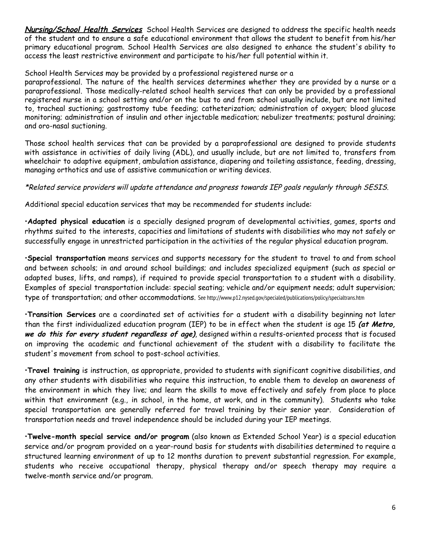**Nursing/School Health Services** School Health Services are designed to address the specific health needs of the student and to ensure a safe educational environment that allows the student to benefit from his/her primary educational program. School Health Services are also designed to enhance the student's ability to access the least restrictive environment and participate to his/her full potential within it.

#### School Health Services may be provided by a professional registered nurse or a

paraprofessional. The nature of the health services determines whether they are provided by a nurse or a paraprofessional. Those medically-related school health services that can only be provided by a professional registered nurse in a school setting and/or on the bus to and from school usually include, but are not limited to, tracheal suctioning; gastrostomy tube feeding; catheterization; administration of oxygen; blood glucose monitoring; administration of insulin and other injectable medication; nebulizer treatments; postural draining; and oro-nasal suctioning.

Those school health services that can be provided by a paraprofessional are designed to provide students with assistance in activities of daily living (ADL), and usually include, but are not limited to, transfers from wheelchair to adaptive equipment, ambulation assistance, diapering and toileting assistance, feeding, dressing, managing orthotics and use of assistive communication or writing devices.

#### \*Related service providers will update attendance and progress towards IEP goals regularly through SESIS.

Additional special education services that may be recommended for students include:

•**Adapted physical education** is a specially designed program of developmental activities, games, sports and rhythms suited to the interests, capacities and limitations of students with disabilities who may not safely or successfully engage in unrestricted participation in the activities of the regular physical education program.

•**Special transportation** means services and supports necessary for the student to travel to and from school and between schools; in and around school buildings; and includes specialized equipment (such as special or adapted buses, lifts, and ramps), if required to provide special transportation to a student with a disability. Examples of special transportation include: special seating; vehicle and/or equipment needs; adult supervision; type of transportation; and other accommodations. See http://www.p12.nysed.gov/specialed/publications/policy/specialtrans.htm

•**Transition Services** are a coordinated set of activities for a student with a disability beginning not later than the first individualized education program (IEP) to be in effect when the student is age 15 **(at Metro, we do this for every student regardless of age)**, designed within a results-oriented process that is focused on improving the academic and functional achievement of the student with a disability to facilitate the student's movement from school to post-school activities.

•**Travel training** is instruction, as appropriate, provided to students with significant cognitive disabilities, and any other students with disabilities who require this instruction, to enable them to develop an awareness of the environment in which they live; and learn the skills to move effectively and safely from place to place within that environment (e.g., in school, in the home, at work, and in the community). Students who take special transportation are generally referred for travel training by their senior year. Consideration of transportation needs and travel independence should be included during your IEP meetings.

•**Twelve-month special service and/or program** (also known as Extended School Year) is a special education service and/or program provided on a year-round basis for students with disabilities determined to require a structured learning environment of up to 12 months duration to prevent substantial regression. For example, students who receive occupational therapy, physical therapy and/or speech therapy may require a twelve-month service and/or program.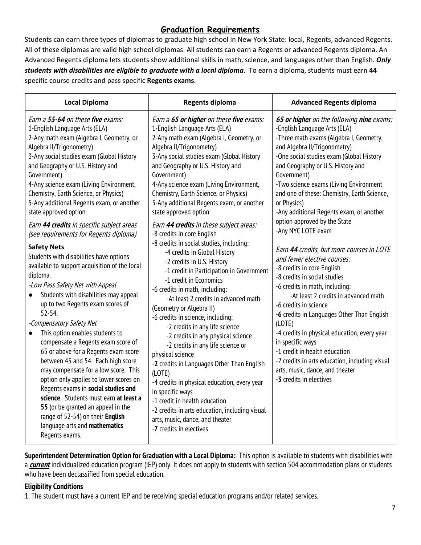#### **Graduation Requirements**

Students can earn three types of diplomas to graduate high school in New York State: local, Regents, advanced Regents. All of these diplomas are valid high school diplomas. All students can earn a Regents or advanced Regents diploma. An Advanced Regents diploma lets students show additional skills in math, science, and languages other than English. *Only students with disabilities are eligible to graduate with a local diploma*. To earn a diploma, students must earn **44** specific course credits and pass specific **Regents exams**.

| <b>Local Diploma</b>                                                                                                                                                                                                                                                                                                                                                                                                                                                                                                                                                                                                                                                                                                                                                                                                                                                                                                                                                                                                                                                                                                                                                                                                                         | <b>Regents diploma</b>                                                                                                                                                                                                                                                                                                                                                                                                                                                                                                                                                                                                                                                                                                                                                                                                                                                                                                                                                                                                                                                                                                                                                                                                         | <b>Advanced Regents diploma</b>                                                                                                                                                                                                                                                                                                                                                                                                                                                                                                                                                                                                                                                                                                                                                                                                                                                                                                                                                          |
|----------------------------------------------------------------------------------------------------------------------------------------------------------------------------------------------------------------------------------------------------------------------------------------------------------------------------------------------------------------------------------------------------------------------------------------------------------------------------------------------------------------------------------------------------------------------------------------------------------------------------------------------------------------------------------------------------------------------------------------------------------------------------------------------------------------------------------------------------------------------------------------------------------------------------------------------------------------------------------------------------------------------------------------------------------------------------------------------------------------------------------------------------------------------------------------------------------------------------------------------|--------------------------------------------------------------------------------------------------------------------------------------------------------------------------------------------------------------------------------------------------------------------------------------------------------------------------------------------------------------------------------------------------------------------------------------------------------------------------------------------------------------------------------------------------------------------------------------------------------------------------------------------------------------------------------------------------------------------------------------------------------------------------------------------------------------------------------------------------------------------------------------------------------------------------------------------------------------------------------------------------------------------------------------------------------------------------------------------------------------------------------------------------------------------------------------------------------------------------------|------------------------------------------------------------------------------------------------------------------------------------------------------------------------------------------------------------------------------------------------------------------------------------------------------------------------------------------------------------------------------------------------------------------------------------------------------------------------------------------------------------------------------------------------------------------------------------------------------------------------------------------------------------------------------------------------------------------------------------------------------------------------------------------------------------------------------------------------------------------------------------------------------------------------------------------------------------------------------------------|
| Earn a 55-64 on these five exams:<br>1-English Language Arts (ELA)<br>2-Any math exam (Algebra I, Geometry, or<br>Algebra II/Trigonometry)<br>3-Any social studies exam (Global History<br>and Geography or U.S. History and<br>Government)<br>4-Any science exam (Living Environment,<br>Chemistry, Earth Science, or Physics)<br>5-Any additional Regents exam, or another<br>state approved option<br>Earn 44 credits in specific subject areas<br>(see requirements for Regents diploma)<br><b>Safety Nets</b><br>Students with disabilities have options<br>available to support acquisition of the local<br>diploma.<br>-Low Pass Safety Net with Appeal<br>Students with disabilities may appeal<br>up to two Regents exam scores of<br>$52 - 54.$<br>-Compensatory Safety Net<br>This option enables students to<br>compensate a Regents exam score of<br>65 or above for a Regents exam score<br>between 45 and 54. Each high score<br>may compensate for a low score. This<br>option only applies to lower scores on<br>Regents exams in social studies and<br>science. Students must earn at least a<br>55 (or be granted an appeal in the<br>range of 52-54) on their English<br>language arts and mathematics<br>Regents exams. | Earn a 65 or higher on these five exams:<br>1-English Language Arts (ELA)<br>2-Any math exam (Algebra I, Geometry, or<br>Algebra II/Trigonometry)<br>3-Any social studies exam (Global History<br>and Geography or U.S. History and<br>Government)<br>4-Any science exam (Living Environment,<br>Chemistry, Earth Science, or Physics)<br>5-Any additional Regents exam, or another<br>state approved option<br>Earn 44 credits in these subject areas:<br>-8 credits in core English<br>-8 credits in social studies, including:<br>-4 credits in Global History<br>-2 credits in U.S. History<br>-1 credit in Participation in Government<br>-1 credit in Economics<br>-6 credits in math, including:<br>-At least 2 credits in advanced math<br>(Geometry or Algebra II)<br>-6 credits in science, including:<br>-2 credits in any life science<br>-2 credits in any physical science<br>-2 credits in any life science or<br>physical science<br>-2 credits in Languages Other Than English<br>(LOTE)<br>-4 credits in physical education, every year<br>in specific ways<br>-1 credit in health education<br>-2 credits in arts education, including visual<br>arts, music, dance, and theater<br>-7 credits in electives | 65 or higher on the following nine exams:<br>-English Language Arts (ELA)<br>-Three math exams (Algebra I, Geometry,<br>and Algebra II/Trigonometry)<br>-One social studies exam (Global History<br>and Geography or U.S. History and<br>Government)<br>-Two science exams (Living Environment<br>and one of these: Chemistry, Earth Science,<br>or Physics)<br>-Any additional Regents exam, or another<br>option approved by the State<br>-Any NYC LOTE exam<br>Earn 44 credits, but more courses in LOTE<br>and fewer elective courses:<br>-8 credits in core English<br>-8 credits in social studies<br>-6 credits in math, including:<br>-At least 2 credits in advanced math<br>-6 credits in science<br>-6 credits in Languages Other Than English<br>(LOTE)<br>-4 credits in physical education, every year<br>in specific ways<br>-1 credit in health education<br>-2 credits in arts education, including visual<br>arts, music, dance, and theater<br>-3 credits in electives |

**Superintendent Determination Option for Graduation with a Local Diploma:** This option is available to students with disabilities with a **current** individualized education program (IEP) only. It does not apply to students with section 504 accommodation plans or students who have been declassified from special education.

#### **Eligibility Conditions**

1. The student must have a current IEP and be receiving special education programs and/or related services.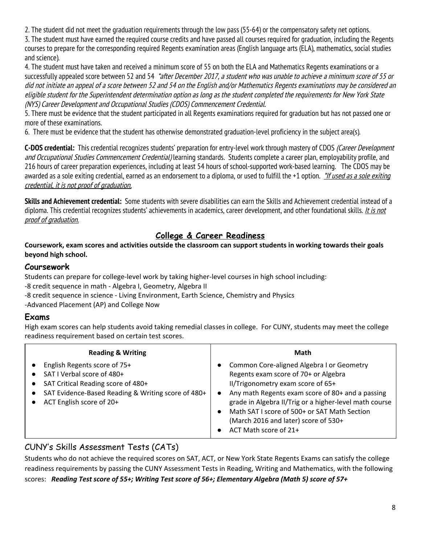2. The student did not meet the graduation requirements through the low pass (55-64) or the compensatory safety net options.

3. The student must have earned the required course credits and have passed all courses required for graduation, including the Regents courses to prepare for the corresponding required Regents examination areas (English language arts (ELA), mathematics, social studies and science).

4. The student must have taken and received a minimum score of 55 on both the ELA and Mathematics Regents examinations or a successfully appealed score between 52 and 54 \*after December 2017, a student who was unable to achieve a minimum score of 55 or did not initiate an appeal of <sup>a</sup> score between 52 and 54 on the English and/or Mathematics Regents examinations may be considered an eligible student for the Superintendent determination option as long as the student completed the requirements for New York State (NYS) Career Development and Occupational Studies (CDOS) Commencement Credential.

5. There must be evidence that the student participated in all Regents examinations required for graduation but has not passed one or more of these examinations.

6. There must be evidence that the student has otherwise demonstrated graduation-level proficiency in the subject area(s).

**C-DOS credential:** This credential recognizes students' preparation for entry-level work through mastery of CDOS (Career Development and Occupational Studies Commencement Credential) learning standards. Students complete a career plan, employability profile, and 216 hours of career preparation experiences, including at least 54 hours of school-supported work-based learning. The CDOS may be awarded as a sole exiting credential, earned as an endorsement to a diploma, or used to fulfill the +1 option. *\*If used as a sole exiting* credential, it is not proof of graduation.

**Skills and Achievement credential:** Some students with severe disabilities can earn the Skills and Achievement credential instead of a diploma. This credential recognizes students' achievements in academics, career development, and other foundational skills. It is not proof of graduation.

#### **College & Career Readiness**

#### **Coursework, exam scores and activities outside the classroom can support students in working towards their goals beyond high school.**

#### **Coursework**

Students can prepare for college-level work by taking higher-level courses in high school including:

-8 credit sequence in math - Algebra I, Geometry, Algebra II

-8 credit sequence in science - Living Environment, Earth Science, Chemistry and Physics

-Advanced Placement (AP) and College Now

#### **Exams**

High exam scores can help students avoid taking remedial classes in college. For CUNY, students may meet the college readiness requirement based on certain test scores.

| <b>Reading &amp; Writing</b>                                                                                                                                                       | Math                                                                                                                                                                                                                                                                                                                                                  |
|------------------------------------------------------------------------------------------------------------------------------------------------------------------------------------|-------------------------------------------------------------------------------------------------------------------------------------------------------------------------------------------------------------------------------------------------------------------------------------------------------------------------------------------------------|
| English Regents score of 75+<br>SAT I Verbal score of 480+<br>SAT Critical Reading score of 480+<br>SAT Evidence-Based Reading & Writing score of 480+<br>ACT English score of 20+ | Common Core-aligned Algebra I or Geometry<br>Regents exam score of 70+ or Algebra<br>II/Trigonometry exam score of 65+<br>Any math Regents exam score of 80+ and a passing<br>grade in Algebra II/Trig or a higher-level math course<br>Math SAT I score of 500+ or SAT Math Section<br>(March 2016 and later) score of 530+<br>ACT Math score of 21+ |

#### CUNY's Skills Assessment Tests (CATs)

Students who do not achieve the required scores on SAT, ACT, or New York State Regents Exams can satisfy the college readiness requirements by passing the CUNY Assessment Tests in Reading, Writing and Mathematics, with the following scores: *Reading Test score of 55+; Writing Test score of 56+; Elementary Algebra (Math 5) score of 57+*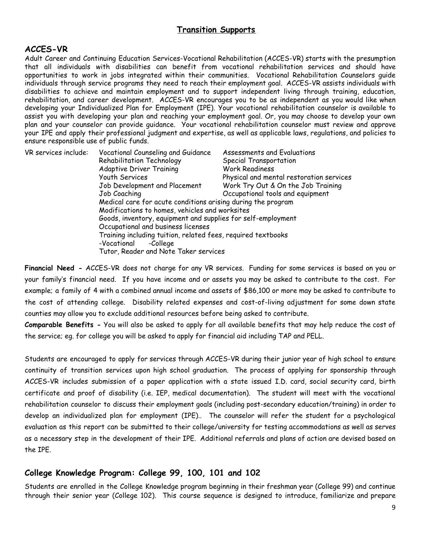#### **Transition Supports**

#### **ACCES-VR**

Adult Career and Continuing Education Services-Vocational Rehabilitation (ACCES-VR) starts with the presumption that all individuals with disabilities can benefit from vocational rehabilitation services and should have opportunities to work in jobs integrated within their communities. Vocational Rehabilitation Counselors guide individuals through service programs they need to reach their employment goal. ACCES-VR assists individuals with disabilities to achieve and maintain employment and to support independent living through training, education, rehabilitation, and career development. ACCES-VR encourages you to be as independent as you would like when developing your Individualized Plan for Employment (IPE). Your vocational rehabilitation counselor is available to assist you with developing your plan and reaching your employment goal. Or, you may choose to develop your own plan and your counselor can provide guidance. Your vocational rehabilitation counselor must review and approve your IPE and apply their professional judgment and expertise, as well as applicable laws, regulations, and policies to ensure responsible use of public funds.

| VR services include: | Vocational Counseling and Guidance                           | Assessments and Evaluations              |  |
|----------------------|--------------------------------------------------------------|------------------------------------------|--|
|                      | Rehabilitation Technology                                    | Special Transportation                   |  |
|                      | <b>Adaptive Driver Training</b>                              | <b>Work Readiness</b>                    |  |
|                      | Youth Services                                               | Physical and mental restoration services |  |
|                      | Job Development and Placement                                | Work Try Out & On the Job Training       |  |
|                      | Job Coaching                                                 | Occupational tools and equipment         |  |
|                      | Medical care for acute conditions arising during the program |                                          |  |
|                      | Modifications to homes, vehicles and worksites               |                                          |  |
|                      | Goods, inventory, equipment and supplies for self-employment |                                          |  |
|                      | Occupational and business licenses                           |                                          |  |
|                      | Training including tuition, related fees, required textbooks |                                          |  |
|                      | -Vocational<br>-College                                      |                                          |  |
|                      | Tutor, Reader and Note Taker services                        |                                          |  |

**Financial Need -** ACCES-VR does not charge for any VR services. Funding for some services is based on you or your family's financial need. If you have income and or assets you may be asked to contribute to the cost. For example; a family of 4 with a combined annual income and assets of \$86,100 or more may be asked to contribute to the cost of attending college. Disability related expenses and cost-of-living adjustment for some down state counties may allow you to exclude additional resources before being asked to contribute.

**Comparable Benefits -** You will also be asked to apply for all available benefits that may help reduce the cost of the service; eg. for college you will be asked to apply for financial aid including TAP and PELL.

Students are encouraged to apply for services through ACCES-VR during their junior year of high school to ensure continuity of transition services upon high school graduation. The process of applying for sponsorship through ACCES-VR includes submission of a paper application with a state issued I.D. card, social security card, birth certificate and proof of disability (i.e. IEP, medical documentation). The student will meet with the vocational rehabilitation counselor to discuss their employment goals (including post-secondary education/training) in order to develop an individualized plan for employment (IPE).. The counselor will refer the student for a psychological evaluation as this report can be submitted to their college/university for testing accommodations as well as serves as a necessary step in the development of their IPE. Additional referrals and plans of action are devised based on the IPE.

#### **College Knowledge Program: College 99, 100, 101 and 102**

Students are enrolled in the College Knowledge program beginning in their freshman year (College 99) and continue through their senior year (College 102). This course sequence is designed to introduce, familiarize and prepare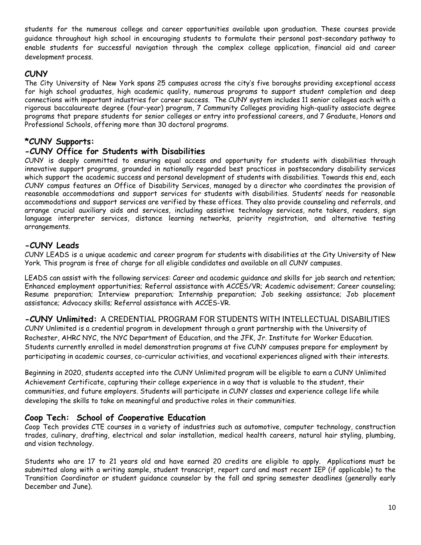students for the numerous college and career opportunities available upon graduation. These courses provide guidance throughout high school in encouraging students to formulate their personal post-secondary pathway to enable students for successful navigation through the complex college application, financial aid and career development process.

#### **CUNY**

The City University of New York spans 25 campuses across the city's five boroughs providing exceptional access for high school graduates, high academic quality, numerous programs to support student completion and deep connections with important industries for career success. The CUNY system includes 11 senior colleges each with a rigorous baccalaureate degree (four-year) program, 7 [Community](http://www2.cuny.edu/about/colleges-schools/#community-colleges) Colleges providing high-quality associate degree programs that prepare students for senior colleges or entry into professional careers, and 7 Graduate, [Honors](http://www2.cuny.edu/about/colleges-schools/#honors-professionalschools) and [Professional](http://www2.cuny.edu/about/colleges-schools/#honors-professionalschools) Schools, offering more than 30 doctoral programs.

#### **\*CUNY Supports:**

#### **-CUNY Office for Students with Disabilities**

CUNY is deeply committed to ensuring equal access and opportunity for students with disabilities through innovative support programs, grounded in nationally regarded best practices in postsecondary disability services which support the academic success and personal development of students with disabilities. Towards this end, each CUNY campus features an Office of Disability Services, managed by a director who coordinates the provision of reasonable accommodations and support services for students with disabilities. Students' needs for reasonable accommodations and support services are verified by these offices. They also provide counseling and referrals, and arrange crucial auxiliary aids and services, including assistive technology services, note takers, readers, sign language interpreter services, distance learning networks, priority registration, and alternative testing arrangements.

#### **-CUNY Leads**

CUNY LEADS is a unique academic and career program for students with disabilities at the City University of New York. This program is free of charge for all eligible candidates and available on all CUNY campuses.

LEADS can assist with the following services: Career and academic guidance and skills for job search and retention; Enhanced employment opportunities; Referral assistance with ACCES/VR; Academic advisement; Career counseling; Resume preparation; Interview preparation; Internship preparation; Job seeking assistance; Job placement assistance; Advocacy skills; Referral assistance with [ACCES-VR](http://www.acces.nysed.gov/vr).

#### **-CUNY Unlimited:** A CREDENTIAL PROGRAM FOR STUDENTS WITH INTELLECTUAL DISABILITIES

CUNY Unlimited is a credential program in development through a grant partnership with the University of Rochester, AHRC NYC, the NYC Department of Education, and the JFK, Jr. Institute for Worker Education. Students currently enrolled in model demonstration programs at five CUNY campuses prepare for employment by participating in academic courses, co-curricular activities, and vocational experiences aligned with their interests.

Beginning in 2020, students accepted into the CUNY Unlimited program will be eligible to earn a CUNY Unlimited Achievement Certificate, capturing their college experience in a way that is valuable to the student, their communities, and future employers. Students will participate in CUNY classes and experience college life while developing the skills to take on meaningful and productive roles in their communities.

#### **Coop Tech: School of Cooperative Education**

Coop Tech provides CTE courses in a variety of industries such as automotive, computer technology, construction trades, culinary, drafting, electrical and solar installation, medical health careers, natural hair styling, plumbing, and vision technology.

Students who are 17 to 21 years old and have earned 20 credits are eligible to apply. Applications must be submitted along with a writing sample, student transcript, report card and most recent IEP (if applicable) to the Transition Coordinator or student guidance counselor by the fall and spring semester deadlines (generally early December and June).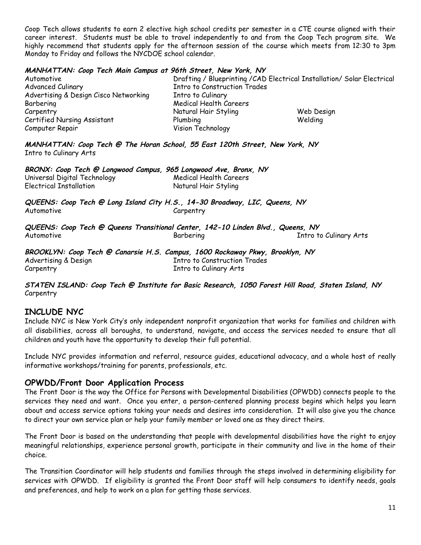Coop Tech allows students to earn 2 elective high school credits per semester in a CTE course aligned with their career interest. Students must be able to travel independently to and from the Coop Tech program site. We highly recommend that students apply for the afternoon session of the course which meets from 12:30 to 3pm Monday to Friday and follows the NYCDOE school calendar.

#### **MANHATTAN: Coop Tech Main Campus at 96th Street, New York, NY**

| Automotive                            |                                     | Drafting / Blueprinting / CAD Electrical Installation / Solar Electrical |
|---------------------------------------|-------------------------------------|--------------------------------------------------------------------------|
| <b>Advanced Culinary</b>              | <b>Intro to Construction Trades</b> |                                                                          |
| Advertising & Design Cisco Networking | Intro to Culinary                   |                                                                          |
| Barbering                             | Medical Health Careers              |                                                                          |
| Carpentry                             | Natural Hair Styling                | Web Design                                                               |
| Certified Nursing Assistant           | Plumbing                            | Welding                                                                  |
| Computer Repair                       | Vision Technology                   |                                                                          |

**MANHATTAN: Coop Tech @ The Horan School, 55 East 120th Street, New York, NY** Intro to Culinary Arts

| BRONX: Coop Tech @ Longwood Campus, 965 Longwood Ave, Bronx, NY |                        |  |
|-----------------------------------------------------------------|------------------------|--|
| Universal Digital Technology                                    | Medical Health Careers |  |
| Electrical Installation                                         | Natural Hair Styling   |  |

**QUEENS: Coop Tech @ Long Island City H.S., 14-30 Broadway, LIC, Queens, NY** Automotive Carpentry

**QUEENS: Coop Tech @ Queens Transitional Center, 142-10 Linden Blvd., Queens, NY** Automotive Barbering Intro to Culinary Arts

**BROOKLYN: Coop Tech @ Canarsie H.S. Campus, 1600 Rockaway Pkwy, Brooklyn, NY** Advertising & Design The Construction Trades Carpentry **Intro to Culinary Arts** 

**STATEN ISLAND: Coop Tech @ Institute for Basic Research, 1050 Forest Hill Road, Staten Island, NY** Carpentry

#### **INCLUDE NYC**

Include NYC is New York City's only independent nonprofit organization that works for families and children with all disabilities, across all boroughs, to understand, navigate, and access the services needed to ensure that all children and youth have the opportunity to develop their full potential.

Include NYC provides information and referral, resource guides, educational advocacy, and a whole host of really informative workshops/training for parents, professionals, etc.

#### **OPWDD/Front Door Application Process**

The Front Door is the way the Office for Persons with Developmental Disabilities (OPWDD) connects people to the services they need and want. Once you enter, a person-centered planning process begins which helps you learn about and access service options taking your needs and desires into consideration. It will also give you the chance to direct your own service plan or help your family member or loved one as they direct theirs.

The Front Door is based on the understanding that people with developmental disabilities have the right to enjoy meaningful relationships, experience personal growth, participate in their community and live in the home of their choice.

The Transition Coordinator will help students and families through the steps involved in determining eligibility for services with OPWDD. If eligibility is granted the Front Door staff will help consumers to identify needs, goals and preferences, and help to work on a plan for getting those services.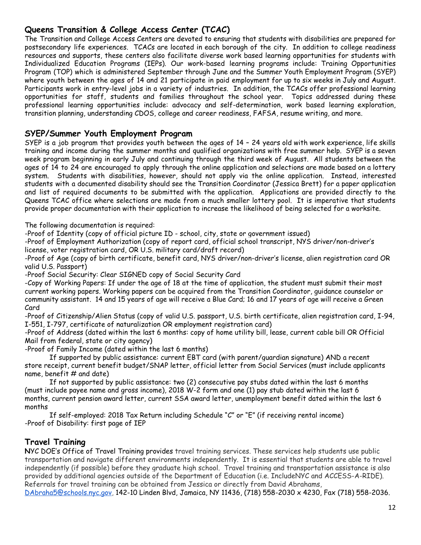#### **Queens Transition & College Access Center (TCAC)**

The Transition and College Access Centers are devoted to ensuring that students with disabilities are prepared for postsecondary life experiences. TCACs are located in each borough of the city. In addition to college readiness resources and supports, these centers also facilitate diverse work based learning opportunities for students with Individualized Education Programs (IEPs). Our work-based learning programs include: Training Opportunities Program (TOP) which is administered September through June and the Summer Youth Employment Program (SYEP) where youth between the ages of 14 and 21 participate in paid employment for up to six weeks in July and August. Participants work in entry-level jobs in a variety of industries. In addition, the TCACs offer professional learning opportunities for staff, students and families throughout the school year. Topics addressed during these professional learning opportunities include: advocacy and self-determination, work based learning exploration, transition planning, understanding CDOS, college and career readiness, FAFSA, resume writing, and more.

#### **SYEP/Summer Youth Employment Program**

SYEP is a job program that provides youth between the ages of 14 – 24 years old with work experience, life skills training and income during the summer months and qualified organizations with free summer help. SYEP is a seven week program beginning in early July and continuing through the third week of August. All students between the ages of 14 to 24 are encouraged to apply through the online application and selections are made based on a lottery system. Students with disabilities, however, should not apply via the online application. Instead, interested students with a documented disability should see the Transition Coordinator (Jessica Brett) for a paper application and list of required documents to be submitted with the application. Applications are provided directly to the Queens TCAC office where selections are made from a much smaller lottery pool. It is imperative that students provide proper documentation with their application to increase the likelihood of being selected for a worksite.

The following documentation is required:

-Proof of Identity (copy of official picture ID - school, city, state or government issued)

-Proof of Employment Authorization (copy of report card, official school transcript, NYS driver/non-driver's license, voter registration card, OR U.S. military card/draft record)

-Proof of Age (copy of birth certificate, benefit card, NYS driver/non-driver's license, alien registration card OR valid U.S. Passport)

-Proof Social Security: Clear SIGNED copy of Social Security Card

-Copy of Working Papers: If under the age of 18 at the time of application, the student must submit their most current working papers. Working papers can be acquired from the Transition Coordinator, guidance counselor or community assistant. 14 and 15 years of age will receive a Blue Card; 16 and 17 years of age will receive a Green Card

-Proof of Citizenship/Alien Status (copy of valid U.S. passport, U.S. birth certificate, alien registration card, I-94, I-551, I-797, certificate of naturalization OR employment registration card)

-Proof of Address (dated within the last 6 months: copy of home utility bill, lease, current cable bill OR Official Mail from federal, state or city agency)

-Proof of Family Income (dated within the last 6 months)

If supported by public assistance: current EBT card (with parent/guardian signature) AND a recent store receipt, current benefit budget/SNAP letter, official letter from Social Services (must include applicants name, benefit  $#$  and date)

If not supported by public assistance: two (2) consecutive pay stubs dated within the last 6 months (must include payee name and gross income), 2018 W-2 form and one (1) pay stub dated within the last 6 months, current pension award letter, current SSA award letter, unemployment benefit dated within the last 6 months

If self-employed: 2018 Tax Return including Schedule "C" or "E" (if receiving rental income) -Proof of Disability: first page of IEP

#### **Travel Training**

**N**YC DOE's Office of Travel Training provides travel training services. These services help students use public transportation and navigate different environments independently. It is essential that students are able to travel independently (if possible) before they graduate high school. Travel training and transportation assistance is also provided by additional agencies outside of the Department of Education (i.e. IncludeNYC and ACCESS-A-RIDE). Referrals for travel training can be obtained from Jessica or directly from David Abrahams,

[DAbraha5@schools.nyc.gov,](mailto:DAbraha5@schools.nyc.gov) 142-10 Linden Blvd, Jamaica, NY 11436, (718) 558-2030 x 4230, Fax (718) 558-2036.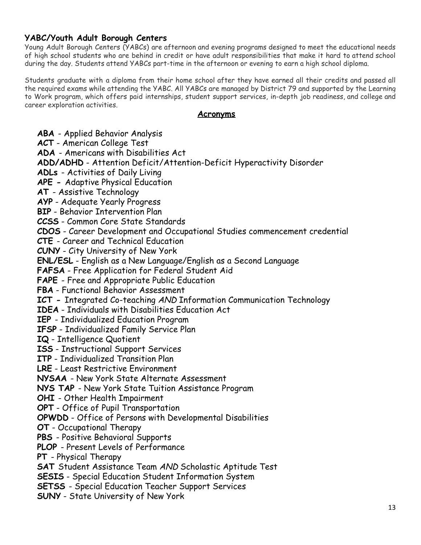#### **YABC/Youth Adult Borough Centers**

Young Adult Borough Centers (YABCs) are afternoon and evening programs designed to meet the educational needs of high school students who are behind in credit or have adult responsibilities that make it hard to attend school during the day. Students attend YABCs part-time in the afternoon or evening to earn a high school diploma.

Students graduate with a diploma from their home school after they have earned all their credits and passed all the required exams while attending the YABC. All YABCs are managed by District 79 and supported by the Learning to Work program, which offers paid internships, student support services, in-depth job readiness, and college and career exploration activities.

#### **Acronyms**

**ABA** - Applied Behavior Analysis **ACT** - American College Test **ADA** - Americans with Disabilities Act **ADD/ADHD** - Attention Deficit/Attention-Deficit Hyperactivity Disorder **ADLs** - Activities of Daily Living **APE -** Adaptive Physical Education **AT** - Assistive Technology **AYP** - Adequate Yearly Progress **BIP** - Behavior Intervention Plan **CCSS** - Common Core State Standards **CDOS** - Career Development and Occupational Studies commencement credential **CTE** - Career and Technical Education **CUNY** - City University of New York **ENL/ESL** - English as a New Language/English as a Second Language **FAFSA** - Free Application for Federal Student Aid **FAPE** - Free and Appropriate Public Education **FBA** - Functional Behavior Assessment **ICT -** Integrated Co-teaching AND Information Communication Technology **IDEA** - Individuals with Disabilities Education Act **IEP** - Individualized Education Program **IFSP** - Individualized Family Service Plan **IQ** - Intelligence Quotient **ISS** - Instructional Support Services **ITP** - Individualized Transition Plan **LRE** - Least Restrictive Environment **NYSAA** - New York State Alternate Assessment **NYS TAP** - New York State Tuition Assistance Program **OHI** - Other Health Impairment **OPT** - Office of Pupil Transportation **OPWDD** - Office of Persons with Developmental Disabilities **OT** - Occupational Therapy **PBS** - Positive Behavioral Supports **PLOP** - Present Levels of Performance **PT** - Physical Therapy **SAT** Student Assistance Team AND Scholastic Aptitude Test **SESIS** - Special Education Student Information System **SETSS** - Special Education Teacher Support Services **SUNY** - State University of New York